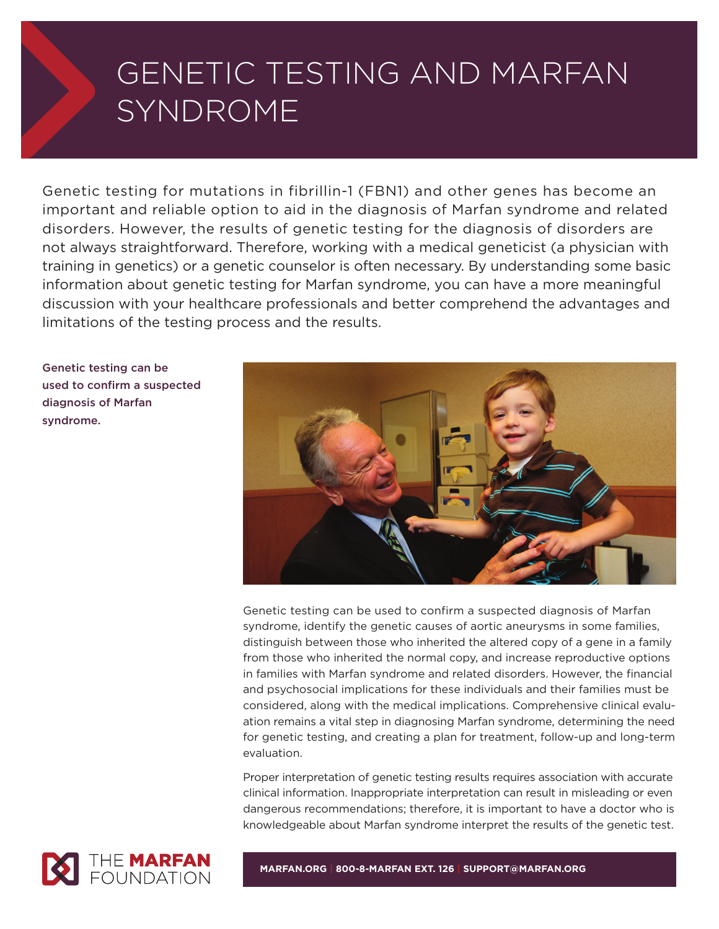# GENETIC TESTING AND MARFAN SYNDROME

Genetic testing for mutations in fibrillin-1 (FBN1) and other genes has become an important and reliable option to aid in the diagnosis of Marfan syndrome and related disorders. However, the results of genetic testing for the diagnosis of disorders are not always straightforward. Therefore, working with a medical geneticist (a physician with training in genetics) or a genetic counselor is often necessary. By understanding some basic information about genetic testing for Marfan syndrome, you can have a more meaningful discussion with your healthcare professionals and better comprehend the advantages and limitations of the testing process and the results.

**Genetic testing can be used to confirm a suspected diagnosis of Marfan syndrome.**



Genetic testing can be used to confirm a suspected diagnosis of Marfan syndrome, identify the genetic causes of aortic aneurysms in some families, distinguish between those who inherited the altered copy of a gene in a family from those who inherited the normal copy, and increase reproductive options in families with Marfan syndrome and related disorders. However, the financial and psychosocial implications for these individuals and their families must be considered, along with the medical implications. Comprehensive clinical evaluation remains a vital step in diagnosing Marfan syndrome, determining the need for genetic testing, and creating a plan for treatment, follow-up and long-term evaluation.

Proper interpretation of genetic testing results requires association with accurate clinical information. Inappropriate interpretation can result in misleading or even dangerous recommendations; therefore, it is important to have a doctor who is knowledgeable about Marfan syndrome interpret the results of the genetic test.



**MARFAN.ORG | 800-8-MARFAN EXT. 126 | SUPPORT@MARFAN.ORG**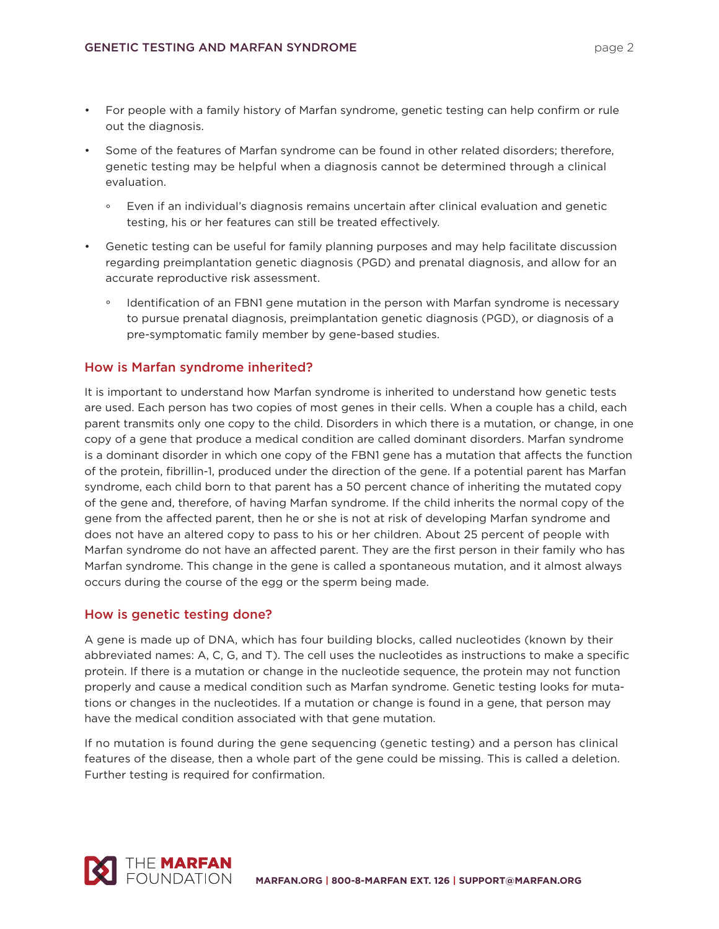- For people with a family history of Marfan syndrome, genetic testing can help confirm or rule out the diagnosis.
- Some of the features of Marfan syndrome can be found in other related disorders; therefore, genetic testing may be helpful when a diagnosis cannot be determined through a clinical evaluation.
	- ° Even if an individual's diagnosis remains uncertain after clinical evaluation and genetic testing, his or her features can still be treated effectively.
- Genetic testing can be useful for family planning purposes and may help facilitate discussion regarding preimplantation genetic diagnosis (PGD) and prenatal diagnosis, and allow for an accurate reproductive risk assessment.
	- ° Identification of an FBN1 gene mutation in the person with Marfan syndrome is necessary to pursue prenatal diagnosis, preimplantation genetic diagnosis (PGD), or diagnosis of a pre-symptomatic family member by gene-based studies.

## **How is Marfan syndrome inherited?**

It is important to understand how Marfan syndrome is inherited to understand how genetic tests are used. Each person has two copies of most genes in their cells. When a couple has a child, each parent transmits only one copy to the child. Disorders in which there is a mutation, or change, in one copy of a gene that produce a medical condition are called dominant disorders. Marfan syndrome is a dominant disorder in which one copy of the FBN1 gene has a mutation that affects the function of the protein, fibrillin-1, produced under the direction of the gene. If a potential parent has Marfan syndrome, each child born to that parent has a 50 percent chance of inheriting the mutated copy of the gene and, therefore, of having Marfan syndrome. If the child inherits the normal copy of the gene from the affected parent, then he or she is not at risk of developing Marfan syndrome and does not have an altered copy to pass to his or her children. About 25 percent of people with Marfan syndrome do not have an affected parent. They are the first person in their family who has Marfan syndrome. This change in the gene is called a spontaneous mutation, and it almost always occurs during the course of the egg or the sperm being made.

## **How is genetic testing done?**

A gene is made up of DNA, which has four building blocks, called nucleotides (known by their abbreviated names: A, C, G, and T). The cell uses the nucleotides as instructions to make a specific protein. If there is a mutation or change in the nucleotide sequence, the protein may not function properly and cause a medical condition such as Marfan syndrome. Genetic testing looks for mutations or changes in the nucleotides. If a mutation or change is found in a gene, that person may have the medical condition associated with that gene mutation.

If no mutation is found during the gene sequencing (genetic testing) and a person has clinical features of the disease, then a whole part of the gene could be missing. This is called a deletion. Further testing is required for confirmation.

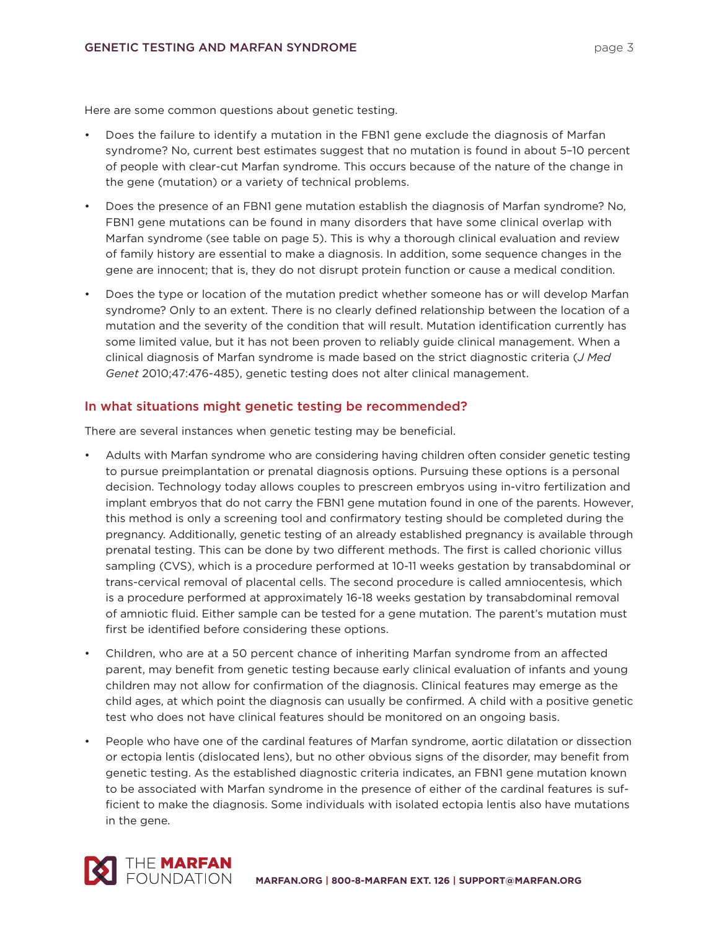Here are some common questions about genetic testing.

- Does the failure to identify a mutation in the FBN1 gene exclude the diagnosis of Marfan syndrome? No, current best estimates suggest that no mutation is found in about 5–10 percent of people with clear-cut Marfan syndrome. This occurs because of the nature of the change in the gene (mutation) or a variety of technical problems.
- Does the presence of an FBN1 gene mutation establish the diagnosis of Marfan syndrome? No, FBN1 gene mutations can be found in many disorders that have some clinical overlap with Marfan syndrome (see table on page 5). This is why a thorough clinical evaluation and review of family history are essential to make a diagnosis. In addition, some sequence changes in the gene are innocent; that is, they do not disrupt protein function or cause a medical condition.
- Does the type or location of the mutation predict whether someone has or will develop Marfan syndrome? Only to an extent. There is no clearly defined relationship between the location of a mutation and the severity of the condition that will result. Mutation identification currently has some limited value, but it has not been proven to reliably guide clinical management. When a clinical diagnosis of Marfan syndrome is made based on the strict diagnostic criteria (*J Med Genet* 2010;47:476-485), genetic testing does not alter clinical management.

## **In what situations might genetic testing be recommended?**

There are several instances when genetic testing may be beneficial.

- Adults with Marfan syndrome who are considering having children often consider genetic testing to pursue preimplantation or prenatal diagnosis options. Pursuing these options is a personal decision. Technology today allows couples to prescreen embryos using in-vitro fertilization and implant embryos that do not carry the FBN1 gene mutation found in one of the parents. However, this method is only a screening tool and confirmatory testing should be completed during the pregnancy. Additionally, genetic testing of an already established pregnancy is available through prenatal testing. This can be done by two different methods. The first is called chorionic villus sampling (CVS), which is a procedure performed at 10-11 weeks gestation by transabdominal or trans-cervical removal of placental cells. The second procedure is called amniocentesis, which is a procedure performed at approximately 16-18 weeks gestation by transabdominal removal of amniotic fluid. Either sample can be tested for a gene mutation. The parent's mutation must first be identified before considering these options.
- Children, who are at a 50 percent chance of inheriting Marfan syndrome from an affected parent, may benefit from genetic testing because early clinical evaluation of infants and young children may not allow for confirmation of the diagnosis. Clinical features may emerge as the child ages, at which point the diagnosis can usually be confirmed. A child with a positive genetic test who does not have clinical features should be monitored on an ongoing basis.
- People who have one of the cardinal features of Marfan syndrome, aortic dilatation or dissection or ectopia lentis (dislocated lens), but no other obvious signs of the disorder, may benefit from genetic testing. As the established diagnostic criteria indicates, an FBN1 gene mutation known to be associated with Marfan syndrome in the presence of either of the cardinal features is sufficient to make the diagnosis. Some individuals with isolated ectopia lentis also have mutations in the gene.

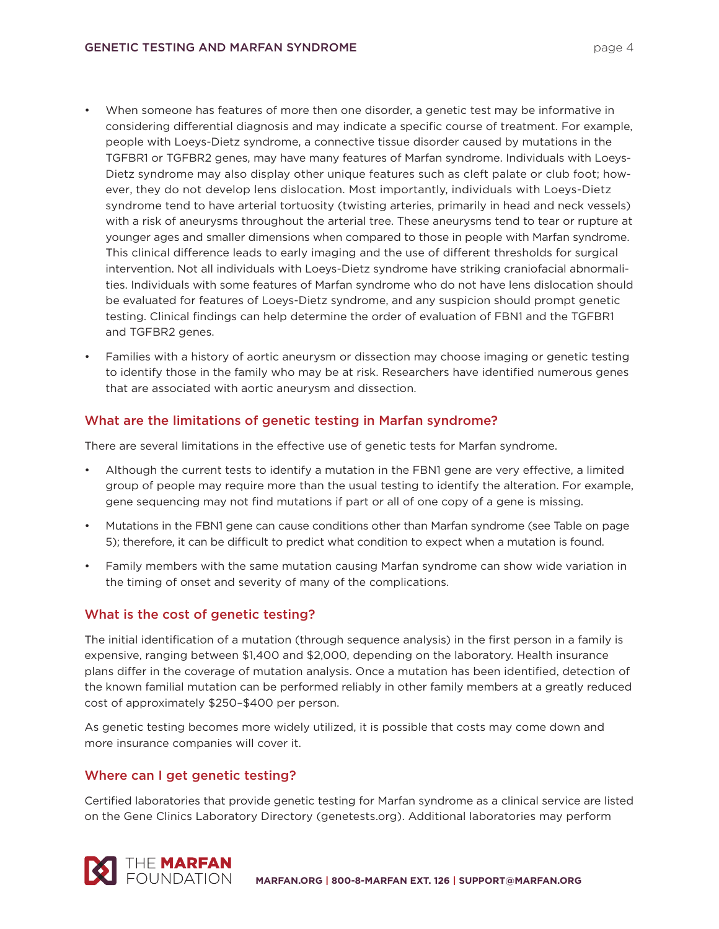- When someone has features of more then one disorder, a genetic test may be informative in considering differential diagnosis and may indicate a specific course of treatment. For example, people with Loeys-Dietz syndrome, a connective tissue disorder caused by mutations in the TGFBR1 or TGFBR2 genes, may have many features of Marfan syndrome. Individuals with Loeys-Dietz syndrome may also display other unique features such as cleft palate or club foot; however, they do not develop lens dislocation. Most importantly, individuals with Loeys-Dietz syndrome tend to have arterial tortuosity (twisting arteries, primarily in head and neck vessels) with a risk of aneurysms throughout the arterial tree. These aneurysms tend to tear or rupture at younger ages and smaller dimensions when compared to those in people with Marfan syndrome. This clinical difference leads to early imaging and the use of different thresholds for surgical intervention. Not all individuals with Loeys-Dietz syndrome have striking craniofacial abnormalities. Individuals with some features of Marfan syndrome who do not have lens dislocation should be evaluated for features of Loeys-Dietz syndrome, and any suspicion should prompt genetic testing. Clinical findings can help determine the order of evaluation of FBN1 and the TGFBR1 and TGFBR2 genes.
- Families with a history of aortic aneurysm or dissection may choose imaging or genetic testing to identify those in the family who may be at risk. Researchers have identified numerous genes that are associated with aortic aneurysm and dissection.

## **What are the limitations of genetic testing in Marfan syndrome?**

There are several limitations in the effective use of genetic tests for Marfan syndrome.

- Although the current tests to identify a mutation in the FBN1 gene are very effective, a limited group of people may require more than the usual testing to identify the alteration. For example, gene sequencing may not find mutations if part or all of one copy of a gene is missing.
- Mutations in the FBN1 gene can cause conditions other than Marfan syndrome (see Table on page 5); therefore, it can be difficult to predict what condition to expect when a mutation is found.
- Family members with the same mutation causing Marfan syndrome can show wide variation in the timing of onset and severity of many of the complications.

## **What is the cost of genetic testing?**

The initial identification of a mutation (through sequence analysis) in the first person in a family is expensive, ranging between \$1,400 and \$2,000, depending on the laboratory. Health insurance plans differ in the coverage of mutation analysis. Once a mutation has been identified, detection of the known familial mutation can be performed reliably in other family members at a greatly reduced cost of approximately \$250–\$400 per person.

As genetic testing becomes more widely utilized, it is possible that costs may come down and more insurance companies will cover it.

## **Where can I get genetic testing?**

Certified laboratories that provide genetic testing for Marfan syndrome as a clinical service are listed on the Gene Clinics Laboratory Directory (genetests.org). Additional laboratories may perform

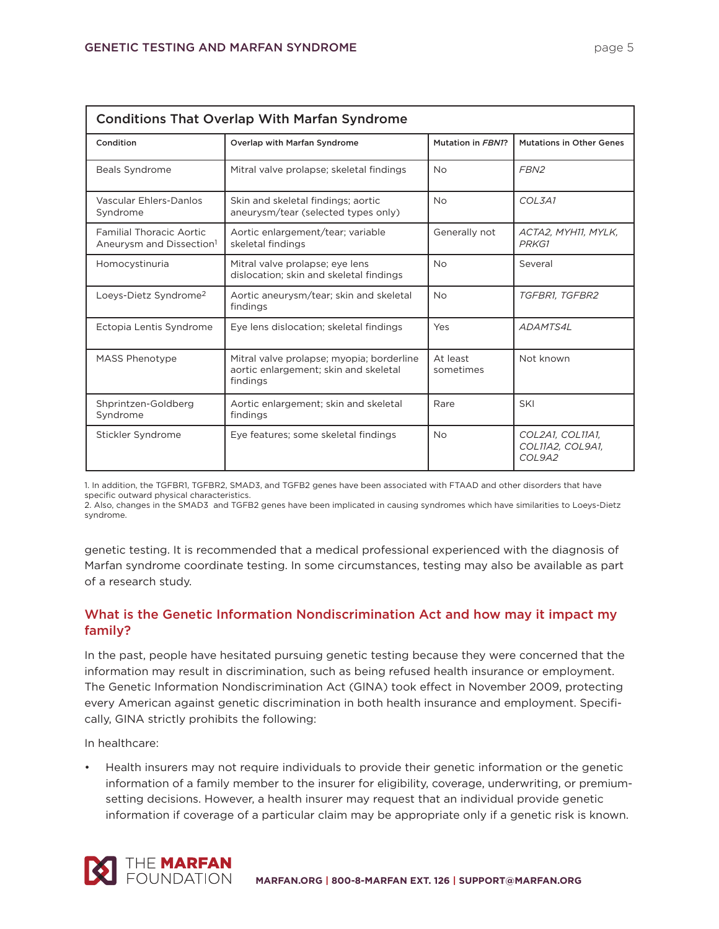|--|--|

| <b>Conditions That Overlap With Marfan Syndrome</b>                     |                                                                                                |                       |                                                |
|-------------------------------------------------------------------------|------------------------------------------------------------------------------------------------|-----------------------|------------------------------------------------|
| Condition                                                               | <b>Overlap with Marfan Syndrome</b>                                                            | Mutation in FBN1?     | <b>Mutations in Other Genes</b>                |
| <b>Beals Syndrome</b>                                                   | Mitral valve prolapse; skeletal findings                                                       | <b>No</b>             | FBN <sub>2</sub>                               |
| Vascular Ehlers-Danlos<br>Syndrome                                      | Skin and skeletal findings; aortic<br>aneurysm/tear (selected types only)                      | <b>No</b>             | COL3A1                                         |
| <b>Familial Thoracic Aortic</b><br>Aneurysm and Dissection <sup>1</sup> | Aortic enlargement/tear; variable<br>skeletal findings                                         | Generally not         | ACTA2, MYH11, MYLK,<br>PRKG1                   |
| Homocystinuria                                                          | Mitral valve prolapse; eye lens<br>dislocation; skin and skeletal findings                     | <b>No</b>             | Several                                        |
| Loeys-Dietz Syndrome <sup>2</sup>                                       | Aortic aneurysm/tear; skin and skeletal<br>findings                                            | <b>No</b>             | TGFBR1, TGFBR2                                 |
| Ectopia Lentis Syndrome                                                 | Eye lens dislocation; skeletal findings                                                        | Yes                   | <b>ADAMTS4L</b>                                |
| <b>MASS Phenotype</b>                                                   | Mitral valve prolapse; myopia; borderline<br>aortic enlargement; skin and skeletal<br>findings | At least<br>sometimes | Not known                                      |
| Shprintzen-Goldberg<br>Syndrome                                         | Aortic enlargement; skin and skeletal<br>findings                                              | Rare                  | SKI                                            |
| Stickler Syndrome                                                       | Eye features; some skeletal findings                                                           | <b>No</b>             | COL2A1, COL11A1,<br>COL11A2, COL9A1,<br>COL9A2 |

1. In addition, the TGFBR1, TGFBR2, SMAD3, and TGFB2 genes have been associated with FTAAD and other disorders that have specific outward physical characteristics.

2. Also, changes in the SMAD3 and TGFB2 genes have been implicated in causing syndromes which have similarities to Loeys-Dietz syndrome.

genetic testing. It is recommended that a medical professional experienced with the diagnosis of Marfan syndrome coordinate testing. In some circumstances, testing may also be available as part of a research study.

# **What is the Genetic Information Nondiscrimination Act and how may it impact my family?**

In the past, people have hesitated pursuing genetic testing because they were concerned that the information may result in discrimination, such as being refused health insurance or employment. The Genetic Information Nondiscrimination Act (GINA) took effect in November 2009, protecting every American against genetic discrimination in both health insurance and employment. Specifically, GINA strictly prohibits the following:

In healthcare:

• Health insurers may not require individuals to provide their genetic information or the genetic information of a family member to the insurer for eligibility, coverage, underwriting, or premiumsetting decisions. However, a health insurer may request that an individual provide genetic information if coverage of a particular claim may be appropriate only if a genetic risk is known.

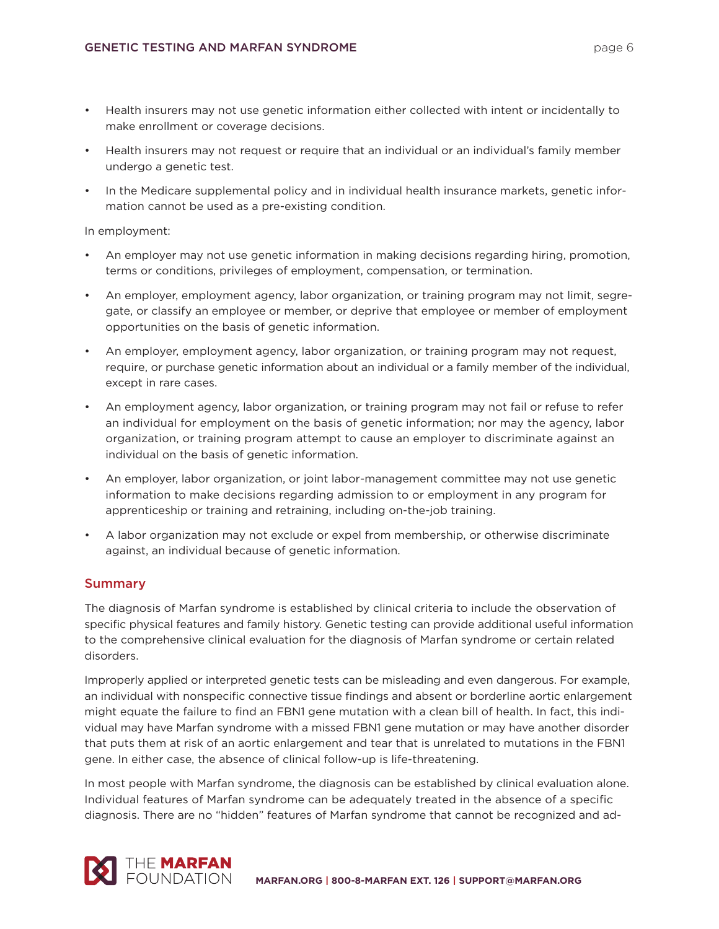- Health insurers may not use genetic information either collected with intent or incidentally to make enrollment or coverage decisions.
- Health insurers may not request or require that an individual or an individual's family member undergo a genetic test.
- In the Medicare supplemental policy and in individual health insurance markets, genetic information cannot be used as a pre-existing condition.

In employment:

- An employer may not use genetic information in making decisions regarding hiring, promotion, terms or conditions, privileges of employment, compensation, or termination.
- An employer, employment agency, labor organization, or training program may not limit, segregate, or classify an employee or member, or deprive that employee or member of employment opportunities on the basis of genetic information.
- An employer, employment agency, labor organization, or training program may not request, require, or purchase genetic information about an individual or a family member of the individual, except in rare cases.
- An employment agency, labor organization, or training program may not fail or refuse to refer an individual for employment on the basis of genetic information; nor may the agency, labor organization, or training program attempt to cause an employer to discriminate against an individual on the basis of genetic information.
- An employer, labor organization, or joint labor-management committee may not use genetic information to make decisions regarding admission to or employment in any program for apprenticeship or training and retraining, including on-the-job training.
- A labor organization may not exclude or expel from membership, or otherwise discriminate against, an individual because of genetic information.

## **Summary**

The diagnosis of Marfan syndrome is established by clinical criteria to include the observation of specific physical features and family history. Genetic testing can provide additional useful information to the comprehensive clinical evaluation for the diagnosis of Marfan syndrome or certain related disorders.

Improperly applied or interpreted genetic tests can be misleading and even dangerous. For example, an individual with nonspecific connective tissue findings and absent or borderline aortic enlargement might equate the failure to find an FBN1 gene mutation with a clean bill of health. In fact, this individual may have Marfan syndrome with a missed FBN1 gene mutation or may have another disorder that puts them at risk of an aortic enlargement and tear that is unrelated to mutations in the FBN1 gene. In either case, the absence of clinical follow-up is life-threatening.

In most people with Marfan syndrome, the diagnosis can be established by clinical evaluation alone. Individual features of Marfan syndrome can be adequately treated in the absence of a specific diagnosis. There are no "hidden" features of Marfan syndrome that cannot be recognized and ad-